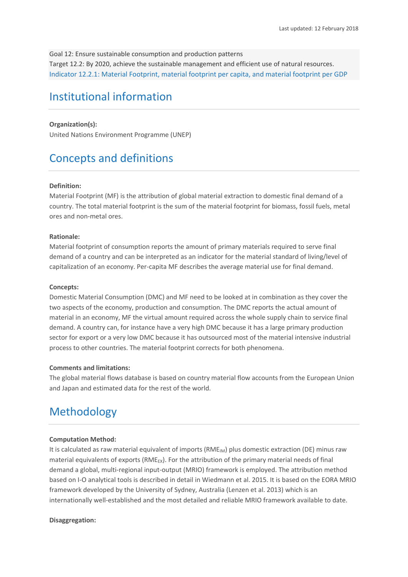Goal 12: Ensure sustainable consumption and production patterns Target 12.2: By 2020, achieve the sustainable management and efficient use of natural resources. Indicator 12.2.1: Material Footprint, material footprint per capita, and material footprint per GDP

# Institutional information

### **Organization(s):**

United Nations Environment Programme (UNEP)

# Concepts and definitions

#### **Definition:**

Material Footprint (MF) is the attribution of global material extraction to domestic final demand of a country. The total material footprint is the sum of the material footprint for biomass, fossil fuels, metal ores and non-metal ores.

### **Rationale:**

Material footprint of consumption reports the amount of primary materials required to serve final demand of a country and can be interpreted as an indicator for the material standard of living/level of capitalization of an economy. Per-capita MF describes the average material use for final demand.

#### **Concepts:**

Domestic Material Consumption (DMC) and MF need to be looked at in combination as they cover the two aspects of the economy, production and consumption. The DMC reports the actual amount of material in an economy, MF the virtual amount required across the whole supply chain to service final demand. A country can, for instance have a very high DMC because it has a large primary production sector for export or a very low DMC because it has outsourced most of the material intensive industrial process to other countries. The material footprint corrects for both phenomena.

#### **Comments and limitations:**

The global material flows database is based on country material flow accounts from the European Union and Japan and estimated data for the rest of the world.

# Methodology

### **Computation Method:**

It is calculated as raw material equivalent of imports  $(RME_{IM})$  plus domestic extraction (DE) minus raw material equivalents of exports ( $RME_{EX}$ ). For the attribution of the primary material needs of final demand a global, multi-regional input-output (MRIO) framework is employed. The attribution method based on I-O analytical tools is described in detail in Wiedmann et al. 2015. It is based on the EORA MRIO framework developed by the University of Sydney, Australia (Lenzen et al. 2013) which is an internationally well-established and the most detailed and reliable MRIO framework available to date.

### **Disaggregation:**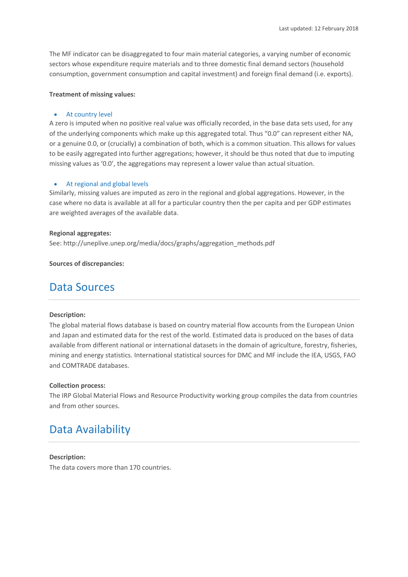The MF indicator can be disaggregated to four main material categories, a varying number of economic sectors whose expenditure require materials and to three domestic final demand sectors (household consumption, government consumption and capital investment) and foreign final demand (i.e. exports).

### **Treatment of missing values:**

#### • At country level

A zero is imputed when no positive real value was officially recorded, in the base data sets used, for any of the underlying components which make up this aggregated total. Thus "0.0" can represent either NA, or a genuine 0.0, or (crucially) a combination of both, which is a common situation. This allows for values to be easily aggregated into further aggregations; however, it should be thus noted that due to imputing missing values as '0.0', the aggregations may represent a lower value than actual situation.

### • At regional and global levels

Similarly, missing values are imputed as zero in the regional and global aggregations. However, in the case where no data is available at all for a particular country then the per capita and per GDP estimates are weighted averages of the available data.

#### **Regional aggregates:**

See: http://uneplive.unep.org/media/docs/graphs/aggregation\_methods.pdf

**Sources of discrepancies:**

### Data Sources

#### **Description:**

The global material flows database is based on country material flow accounts from the European Union and Japan and estimated data for the rest of the world. Estimated data is produced on the bases of data available from different national or international datasets in the domain of agriculture, forestry, fisheries, mining and energy statistics. International statistical sources for DMC and MF include the IEA, USGS, FAO and COMTRADE databases.

### **Collection process:**

The IRP Global Material Flows and Resource Productivity working group compiles the data from countries and from other sources.

# Data Availability

#### **Description:**

The data covers more than 170 countries.